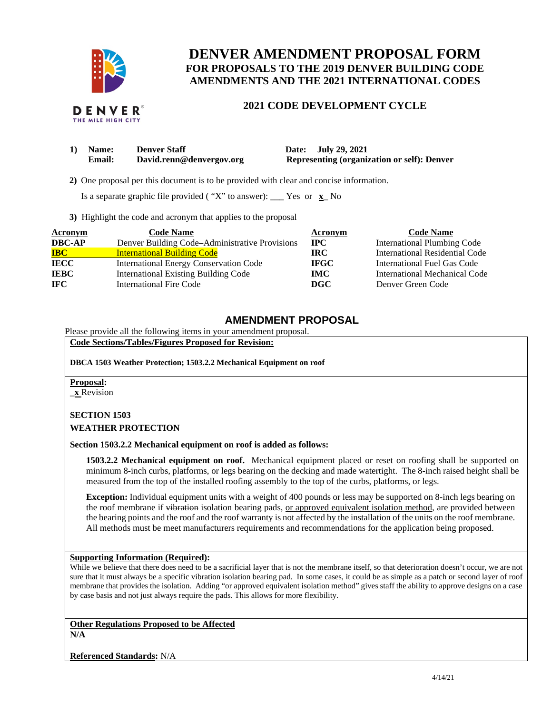

# **DENVER AMENDMENT PROPOSAL FORM FOR PROPOSALS TO THE 2019 DENVER BUILDING CODE AMENDMENTS AND THE 2021 INTERNATIONAL CODES**

#### **DENVER** THE MILE HIGH CITY

# **2021 CODE DEVELOPMENT CYCLE**

| 1) Name:      | <b>Denver Staff</b>      | Date: July 29, 2021                                |
|---------------|--------------------------|----------------------------------------------------|
| <b>Email:</b> | David.renn@denvergov.org | <b>Representing (organization or self): Denver</b> |

 **2)** One proposal per this document is to be provided with clear and concise information.

Is a separate graphic file provided ( "X" to answer): \_\_\_ Yes or **x**\_ No

**3)** Highlight the code and acronym that applies to the proposal

| <b>Acronym</b> | <b>Code Name</b>                               | Acronym     | <b>Code Name</b>                   |
|----------------|------------------------------------------------|-------------|------------------------------------|
| <b>DBC-AP</b>  | Denver Building Code-Administrative Provisions | <b>IPC</b>  | <b>International Plumbing Code</b> |
| <b>IBC</b>     | <b>International Building Code</b>             | IRC.        | International Residential Code     |
| <b>IECC</b>    | <b>International Energy Conservation Code</b>  | <b>IFGC</b> | International Fuel Gas Code        |
| <b>IEBC</b>    | <b>International Existing Building Code</b>    | <b>IMC</b>  | International Mechanical Code      |
| IFC.           | <b>International Fire Code</b>                 | DGC         | Denver Green Code                  |

# **AMENDMENT PROPOSAL**

Please provide all the following items in your amendment proposal.

**Code Sections/Tables/Figures Proposed for Revision:** 

**DBCA 1503 Weather Protection; 1503.2.2 Mechanical Equipment on roof** 

**Proposal:** 

\_**x** Revision

### **SECTION 1503**

**WEATHER PROTECTION** 

**Section 1503.2.2 Mechanical equipment on roof is added as follows:** 

**1503.2.2 Mechanical equipment on roof.** Mechanical equipment placed or reset on roofing shall be supported on minimum 8-inch curbs, platforms, or legs bearing on the decking and made watertight. The 8-inch raised height shall be measured from the top of the installed roofing assembly to the top of the curbs, platforms, or legs.

**Exception:** Individual equipment units with a weight of 400 pounds or less may be supported on 8-inch legs bearing on the roof membrane if vibration isolation bearing pads, or approved equivalent isolation method, are provided between the bearing points and the roof and the roof warranty is not affected by the installation of the units on the roof membrane. All methods must be meet manufacturers requirements and recommendations for the application being proposed.

### **Supporting Information (Required):**

While we believe that there does need to be a sacrificial layer that is not the membrane itself, so that deterioration doesn't occur, we are not sure that it must always be a specific vibration isolation bearing pad. In some cases, it could be as simple as a patch or second layer of roof membrane that provides the isolation. Adding "or approved equivalent isolation method" gives staff the ability to approve designs on a case by case basis and not just always require the pads. This allows for more flexibility.

#### **Other Regulations Proposed to be Affected N/A**

**Referenced Standards:** N/A